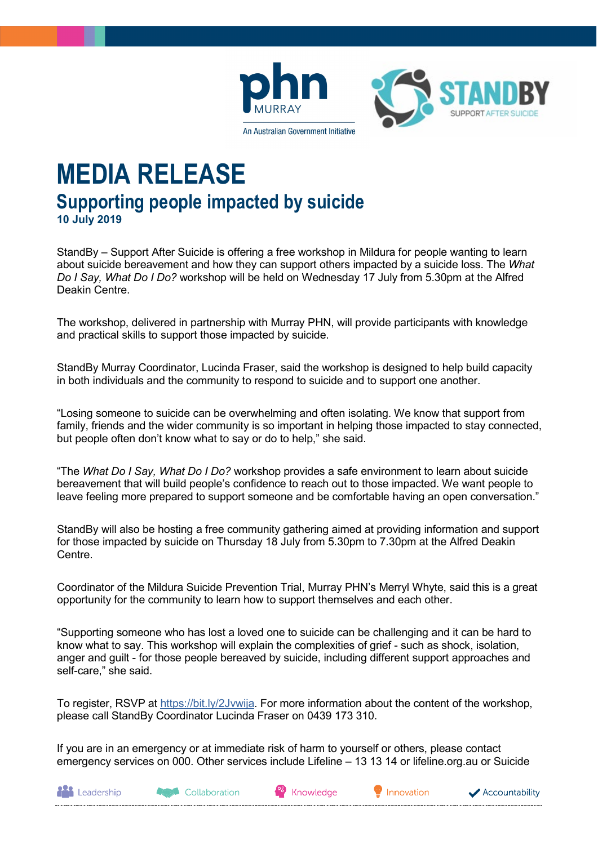



**MEDIA RELEASE Supporting people impacted by suicide 10 July 2019**

StandBy – Support After Suicide is offering a free workshop in Mildura for people wanting to learn about suicide bereavement and how they can support others impacted by a suicide loss. The *What Do I Say, What Do I Do?* workshop will be held on Wednesday 17 July from 5.30pm at the Alfred Deakin Centre.

The workshop, delivered in partnership with Murray PHN, will provide participants with knowledge and practical skills to support those impacted by suicide.

StandBy Murray Coordinator, Lucinda Fraser, said the workshop is designed to help build capacity in both individuals and the community to respond to suicide and to support one another.

"Losing someone to suicide can be overwhelming and often isolating. We know that support from family, friends and the wider community is so important in helping those impacted to stay connected, but people often don't know what to say or do to help," she said.

"The *What Do I Say, What Do I Do?* workshop provides a safe environment to learn about suicide bereavement that will build people's confidence to reach out to those impacted. We want people to leave feeling more prepared to support someone and be comfortable having an open conversation."

StandBy will also be hosting a free community gathering aimed at providing information and support for those impacted by suicide on Thursday 18 July from 5.30pm to 7.30pm at the Alfred Deakin Centre.

Coordinator of the Mildura Suicide Prevention Trial, Murray PHN's Merryl Whyte, said this is a great opportunity for the community to learn how to support themselves and each other.

"Supporting someone who has lost a loved one to suicide can be challenging and it can be hard to know what to say. This workshop will explain the complexities of grief - such as shock, isolation, anger and guilt - for those people bereaved by suicide, including different support approaches and self-care," she said.

To register, RSVP at [https://bit.ly/2Jvwija.](https://bit.ly/2Jvwija) For more information about the content of the workshop, please call StandBy Coordinator Lucinda Fraser on 0439 173 310.

If you are in an emergency or at immediate risk of harm to yourself or others, please contact emergency services on 000. Other services include Lifeline – 13 13 14 or lifeline.org.au or Suicide

**Agent** Collaboration

Knowledge

Innovation

Accountability

**AND** Leadership